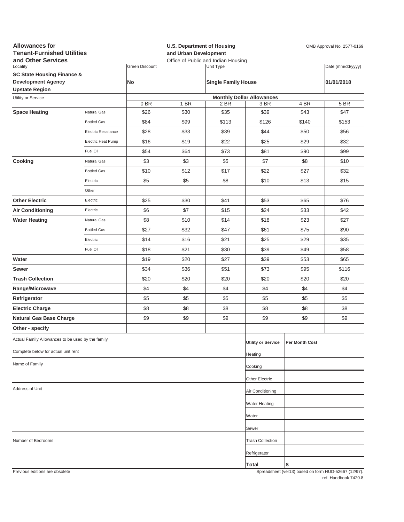| <b>Allowances for</b><br><b>Tenant-Furnished Utilities</b><br>and Other Services |                     |                       |      | <b>U.S. Department of Housing</b><br>OMB Approval No. 2577-0169<br>and Urban Development<br>Office of Public and Indian Housing |                                  |                |                                                     |
|----------------------------------------------------------------------------------|---------------------|-----------------------|------|---------------------------------------------------------------------------------------------------------------------------------|----------------------------------|----------------|-----------------------------------------------------|
| Locality                                                                         |                     | <b>Green Discount</b> |      | Unit Type                                                                                                                       |                                  |                | Date (mm/dd/yyyy)                                   |
| <b>SC State Housing Finance &amp;</b>                                            |                     |                       |      |                                                                                                                                 |                                  |                |                                                     |
| <b>Development Agency</b><br><b>Upstate Region</b>                               |                     | No                    |      | <b>Single Family House</b>                                                                                                      |                                  |                | 01/01/2018                                          |
| Utility or Service                                                               |                     |                       |      |                                                                                                                                 | <b>Monthly Dollar Allowances</b> |                |                                                     |
|                                                                                  |                     | 0 BR                  | 1 BR | 2 BR                                                                                                                            | 3 BR                             | 4 BR           | 5 BR                                                |
| <b>Space Heating</b>                                                             | Natural Gas         | \$26                  | \$30 | \$35                                                                                                                            | \$39                             | \$43           | \$47                                                |
|                                                                                  | <b>Bottled Gas</b>  | \$84                  | \$99 | \$113                                                                                                                           | \$126                            | \$140          | \$153                                               |
|                                                                                  | Electric Resistance | \$28                  | \$33 | \$39                                                                                                                            | \$44                             | \$50           | \$56                                                |
|                                                                                  | Electric Heat Pump  | \$16                  | \$19 | \$22                                                                                                                            | \$25                             | \$29           | \$32                                                |
|                                                                                  | Fuel Oil            | \$54                  | \$64 | \$73                                                                                                                            | \$81                             | \$90           | \$99                                                |
| Cooking                                                                          | Natural Gas         | \$3                   | \$3  | \$5                                                                                                                             | \$7                              | \$8            | \$10                                                |
|                                                                                  | <b>Bottled Gas</b>  | \$10                  | \$12 | \$17                                                                                                                            | \$22                             | \$27           | \$32                                                |
|                                                                                  | Electric            | \$5                   | \$5  | \$8                                                                                                                             | \$10                             | \$13           | \$15                                                |
|                                                                                  | Other               |                       |      |                                                                                                                                 |                                  |                |                                                     |
| <b>Other Electric</b>                                                            | Electric            | \$25                  | \$30 | \$41                                                                                                                            | \$53                             | \$65           | \$76                                                |
| <b>Air Conditioning</b>                                                          | Electric            | \$6                   | \$7  | \$15                                                                                                                            | \$24                             | \$33           | \$42                                                |
| <b>Water Heating</b>                                                             | Natural Gas         | \$8                   | \$10 | \$14                                                                                                                            | \$18                             | \$23           | \$27                                                |
|                                                                                  | <b>Bottled Gas</b>  | \$27                  | \$32 | \$47                                                                                                                            | \$61                             | \$75           | \$90                                                |
|                                                                                  | Electric            | \$14                  | \$16 | \$21                                                                                                                            | \$25                             | \$29           | \$35                                                |
|                                                                                  | Fuel Oil            | \$18                  | \$21 | \$30                                                                                                                            | \$39                             | \$49           | \$58                                                |
| Water                                                                            |                     | \$19                  | \$20 | \$27                                                                                                                            | \$39                             | \$53           | \$65                                                |
| Sewer                                                                            |                     | \$34                  | \$36 | \$51                                                                                                                            | \$73                             | \$95           | \$116                                               |
| <b>Trash Collection</b>                                                          |                     | \$20                  | \$20 | \$20                                                                                                                            | \$20                             | \$20           | \$20                                                |
| Range/Microwave                                                                  |                     | \$4                   | \$4  | \$4                                                                                                                             | \$4                              | \$4            | \$4                                                 |
| Refrigerator                                                                     |                     | \$5                   | \$5  | \$5                                                                                                                             | \$5                              | \$5            | \$5                                                 |
| <b>Electric Charge</b>                                                           |                     | \$8                   | \$8  | \$8                                                                                                                             | \$8                              | \$8            | \$8                                                 |
| <b>Natural Gas Base Charge</b>                                                   |                     | \$9                   | \$9  | \$9                                                                                                                             | \$9                              | \$9            | \$9                                                 |
| Other - specify                                                                  |                     |                       |      |                                                                                                                                 |                                  |                |                                                     |
| Actual Family Allowances to be used by the family                                |                     |                       |      |                                                                                                                                 | <b>Utility or Service</b>        | Per Month Cost |                                                     |
| Complete below for actual unit rent                                              |                     |                       |      |                                                                                                                                 | Heating                          |                |                                                     |
| Name of Family                                                                   |                     |                       |      |                                                                                                                                 | Cooking                          |                |                                                     |
|                                                                                  |                     |                       |      |                                                                                                                                 | <b>Other Electric</b>            |                |                                                     |
| Address of Unit                                                                  |                     |                       |      |                                                                                                                                 | Air Conditioning                 |                |                                                     |
|                                                                                  |                     |                       |      |                                                                                                                                 | <b>Water Heating</b>             |                |                                                     |
|                                                                                  |                     |                       |      |                                                                                                                                 | Water                            |                |                                                     |
|                                                                                  |                     |                       |      |                                                                                                                                 | Sewer                            |                |                                                     |
| Number of Bedrooms                                                               |                     |                       |      |                                                                                                                                 | <b>Trash Collection</b>          |                |                                                     |
|                                                                                  |                     |                       |      |                                                                                                                                 |                                  |                |                                                     |
|                                                                                  |                     |                       |      |                                                                                                                                 | Refrigerator                     |                |                                                     |
| Previous editions are obsolete                                                   |                     |                       |      |                                                                                                                                 | Total                            | \$             | Spreadsheet (ver13) hased on form HUD-52667 (12/97) |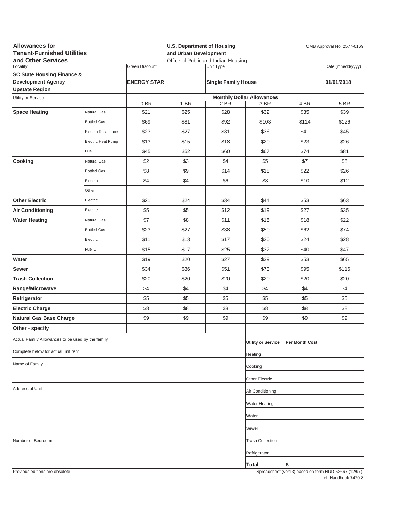| <b>Allowances for</b><br><b>Tenant-Furnished Utilities</b><br>and Other Services |                     | <b>U.S. Department of Housing</b><br>and Urban Development<br>Office of Public and Indian Housing |      |                            |                                  | OMB Approval No. 2577-0169 |                                                     |
|----------------------------------------------------------------------------------|---------------------|---------------------------------------------------------------------------------------------------|------|----------------------------|----------------------------------|----------------------------|-----------------------------------------------------|
| Locality<br><b>SC State Housing Finance &amp;</b>                                |                     | <b>Green Discount</b><br>Unit Type                                                                |      |                            |                                  | Date (mm/dd/yyyy)          |                                                     |
| <b>Development Agency</b><br><b>Upstate Region</b>                               |                     | <b>ENERGY STAR</b>                                                                                |      | <b>Single Family House</b> |                                  |                            | 01/01/2018                                          |
| Utility or Service                                                               |                     |                                                                                                   |      |                            | <b>Monthly Dollar Allowances</b> |                            |                                                     |
|                                                                                  |                     | 0BR                                                                                               | 1 BR | 2 BR                       | 3 BR                             | 4 BR                       | 5 BR                                                |
| <b>Space Heating</b>                                                             | Natural Gas         | \$21                                                                                              | \$25 | \$28                       | \$32                             | \$35                       | \$39                                                |
|                                                                                  | <b>Bottled Gas</b>  | \$69                                                                                              | \$81 | \$92                       | \$103                            | \$114                      | \$126                                               |
|                                                                                  | Electric Resistance | \$23                                                                                              | \$27 | \$31                       | \$36                             | \$41                       | \$45                                                |
|                                                                                  | Electric Heat Pump  | \$13                                                                                              | \$15 | \$18                       | \$20                             | \$23                       | \$26                                                |
|                                                                                  | Fuel Oil            | \$45                                                                                              | \$52 | \$60                       | \$67                             | \$74                       | \$81                                                |
| Cooking                                                                          | Natural Gas         | \$2                                                                                               | \$3  | \$4                        | \$5                              | \$7                        | \$8                                                 |
|                                                                                  | <b>Bottled Gas</b>  | \$8                                                                                               | \$9  | \$14                       | \$18                             | \$22                       | \$26                                                |
|                                                                                  | Electric            | \$4                                                                                               | \$4  | \$6                        | \$8                              | \$10                       | \$12                                                |
|                                                                                  | Other               |                                                                                                   |      |                            |                                  |                            |                                                     |
| <b>Other Electric</b>                                                            | Electric            | \$21                                                                                              | \$24 | \$34                       | \$44                             | \$53                       | \$63                                                |
| <b>Air Conditioning</b>                                                          | Electric            | \$5                                                                                               | \$5  | \$12                       | \$19                             | \$27                       | \$35                                                |
| <b>Water Heating</b>                                                             | Natural Gas         | \$7                                                                                               | \$8  | \$11                       | \$15                             | \$18                       | \$22                                                |
|                                                                                  | <b>Bottled Gas</b>  | \$23                                                                                              | \$27 | \$38                       | \$50                             | \$62                       | \$74                                                |
|                                                                                  | Electric            | \$11                                                                                              | \$13 | \$17                       | \$20                             | \$24                       | \$28                                                |
|                                                                                  | Fuel Oil            | \$15                                                                                              | \$17 | \$25                       | \$32                             | \$40                       | \$47                                                |
| Water                                                                            |                     | \$19                                                                                              | \$20 | \$27                       | \$39                             | \$53                       | \$65                                                |
| Sewer                                                                            |                     | \$34                                                                                              | \$36 | \$51                       | \$73                             | \$95                       | \$116                                               |
| <b>Trash Collection</b>                                                          |                     | \$20                                                                                              | \$20 | \$20                       | \$20                             | \$20                       | \$20                                                |
| Range/Microwave                                                                  |                     | \$4                                                                                               | \$4  | \$4                        | \$4                              | \$4                        | \$4                                                 |
| Refrigerator                                                                     |                     | \$5                                                                                               | \$5  | \$5                        | \$5                              | \$5                        | \$5                                                 |
| <b>Electric Charge</b>                                                           |                     | \$8                                                                                               | \$8  | \$8                        | \$8                              | \$8                        | \$8                                                 |
| <b>Natural Gas Base Charge</b>                                                   |                     | \$9                                                                                               | \$9  | \$9                        | \$9                              | \$9                        | \$9                                                 |
| Other - specify                                                                  |                     |                                                                                                   |      |                            |                                  |                            |                                                     |
| Actual Family Allowances to be used by the family                                |                     |                                                                                                   |      |                            | <b>Utility or Service</b>        | Per Month Cost             |                                                     |
| Complete below for actual unit rent                                              |                     |                                                                                                   |      |                            | Heating                          |                            |                                                     |
| Name of Family                                                                   |                     |                                                                                                   |      |                            | Cooking                          |                            |                                                     |
|                                                                                  |                     |                                                                                                   |      |                            | Other Electric                   |                            |                                                     |
| Address of Unit                                                                  |                     |                                                                                                   |      |                            | Air Conditioning                 |                            |                                                     |
|                                                                                  |                     |                                                                                                   |      |                            | <b>Water Heating</b>             |                            |                                                     |
|                                                                                  |                     |                                                                                                   |      |                            | Water                            |                            |                                                     |
|                                                                                  |                     |                                                                                                   |      |                            | Sewer                            |                            |                                                     |
| Number of Bedrooms                                                               |                     |                                                                                                   |      |                            | <b>Trash Collection</b>          |                            |                                                     |
|                                                                                  |                     |                                                                                                   |      |                            | Refrigerator                     |                            |                                                     |
|                                                                                  |                     |                                                                                                   |      |                            | Total                            | \$                         |                                                     |
| Previous editions are obsolete                                                   |                     |                                                                                                   |      |                            |                                  |                            | Spreadsheet (yer13) hased on form HUD-52667 (12/97) |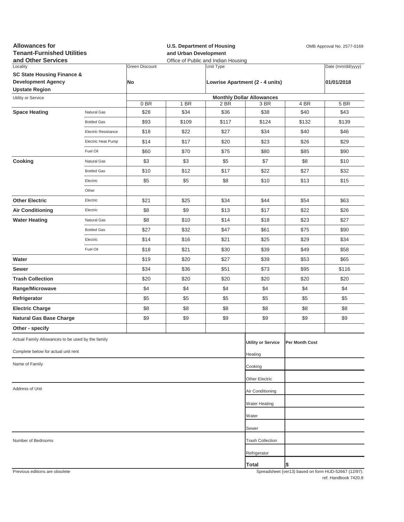| <b>Allowances for</b><br><b>Tenant-Furnished Utilities</b><br>and Other Services |                            |                             | <b>U.S. Department of Housing</b><br>and Urban Development<br>Office of Public and Indian Housing |                                              |                                          |                | OMB Approval No. 2577-0169                          |
|----------------------------------------------------------------------------------|----------------------------|-----------------------------|---------------------------------------------------------------------------------------------------|----------------------------------------------|------------------------------------------|----------------|-----------------------------------------------------|
| Locality<br><b>SC State Housing Finance &amp;</b><br><b>Development Agency</b>   |                            | <b>Green Discount</b><br>No |                                                                                                   | Unit Type<br>Lowrise Apartment (2 - 4 units) |                                          |                | Date (mm/dd/yyyy)<br>01/01/2018                     |
| <b>Upstate Region</b>                                                            |                            |                             |                                                                                                   |                                              |                                          |                |                                                     |
| Utility or Service                                                               |                            | 0BR                         | 1 BR                                                                                              | 2 BR                                         | <b>Monthly Dollar Allowances</b><br>3 BR | 4 BR           | 5 BR                                                |
| <b>Space Heating</b>                                                             | Natural Gas                | \$28                        | \$34                                                                                              | \$36                                         | \$38                                     | \$40           | \$43                                                |
|                                                                                  | <b>Bottled Gas</b>         | \$93                        | \$109                                                                                             | \$117                                        | \$124                                    | \$132          | \$139                                               |
|                                                                                  | <b>Electric Resistance</b> | \$18                        | \$22                                                                                              | \$27                                         | \$34                                     | \$40           | \$46                                                |
|                                                                                  | Electric Heat Pump         | \$14                        | \$17                                                                                              | \$20                                         | \$23                                     | \$26           | \$29                                                |
|                                                                                  | Fuel Oil                   | \$60                        | \$70                                                                                              | \$75                                         | \$80                                     | \$85           | \$90                                                |
| Cooking                                                                          | Natural Gas                | \$3                         | \$3                                                                                               | \$5                                          | \$7                                      | \$8            | \$10                                                |
|                                                                                  | <b>Bottled Gas</b>         | \$10                        | \$12                                                                                              | \$17                                         | \$22                                     | \$27           | \$32                                                |
|                                                                                  | Electric                   | \$5                         | \$5                                                                                               | \$8                                          | \$10                                     | \$13           | \$15                                                |
|                                                                                  | Other                      |                             |                                                                                                   |                                              |                                          |                |                                                     |
| <b>Other Electric</b>                                                            | Electric                   | \$21                        | \$25                                                                                              | \$34                                         | \$44                                     | \$54           | \$63                                                |
| <b>Air Conditioning</b>                                                          | Electric                   | \$8                         | \$9                                                                                               | \$13                                         | \$17                                     | \$22           | \$26                                                |
| <b>Water Heating</b>                                                             | Natural Gas                | \$8                         | \$10                                                                                              | \$14                                         | \$18                                     | \$23           | \$27                                                |
|                                                                                  | <b>Bottled Gas</b>         | \$27                        | \$32                                                                                              | \$47                                         | \$61                                     | \$75           | \$90                                                |
|                                                                                  | Electric                   | \$14                        | \$16                                                                                              | \$21                                         | \$25                                     | \$29           | \$34                                                |
|                                                                                  | Fuel Oil                   | \$18                        | \$21                                                                                              | \$30                                         | \$39                                     | \$49           | \$58                                                |
| Water                                                                            |                            | \$19                        | \$20                                                                                              | \$27                                         | \$39                                     | \$53           | \$65                                                |
| Sewer                                                                            |                            | \$34                        | \$36                                                                                              | \$51                                         | \$73                                     | \$95           | \$116                                               |
| <b>Trash Collection</b>                                                          |                            | \$20                        | \$20                                                                                              | \$20                                         | \$20                                     | \$20           | \$20                                                |
| Range/Microwave                                                                  |                            | \$4                         | \$4                                                                                               | \$4                                          | \$4                                      | \$4            | \$4                                                 |
| Refrigerator                                                                     |                            | \$5                         | \$5                                                                                               | \$5                                          | \$5                                      | \$5            | \$5                                                 |
| <b>Electric Charge</b>                                                           |                            | \$8                         | \$8                                                                                               | \$8                                          | \$8                                      | \$8            | \$8                                                 |
| <b>Natural Gas Base Charge</b>                                                   |                            | \$9                         | \$9                                                                                               | \$9                                          | \$9                                      | \$9            | \$9                                                 |
| Other - specify                                                                  |                            |                             |                                                                                                   |                                              |                                          |                |                                                     |
| Actual Family Allowances to be used by the family                                |                            |                             |                                                                                                   |                                              | <b>Utility or Service</b>                | Per Month Cost |                                                     |
| Complete below for actual unit rent                                              |                            |                             |                                                                                                   |                                              | Heating                                  |                |                                                     |
| Name of Family                                                                   |                            |                             |                                                                                                   |                                              | Cooking                                  |                |                                                     |
|                                                                                  |                            |                             |                                                                                                   |                                              | Other Electric                           |                |                                                     |
| Address of Unit                                                                  |                            |                             |                                                                                                   |                                              | Air Conditioning                         |                |                                                     |
|                                                                                  |                            |                             |                                                                                                   |                                              | Water Heating                            |                |                                                     |
|                                                                                  |                            |                             |                                                                                                   |                                              | Water                                    |                |                                                     |
|                                                                                  |                            |                             |                                                                                                   |                                              | Sewer                                    |                |                                                     |
| Number of Bedrooms                                                               |                            |                             |                                                                                                   |                                              | <b>Trash Collection</b>                  |                |                                                     |
|                                                                                  |                            |                             |                                                                                                   |                                              | Refrigerator                             |                |                                                     |
|                                                                                  |                            |                             |                                                                                                   |                                              | <b>Total</b>                             | \$             |                                                     |
| Previous editions are obsolete                                                   |                            |                             |                                                                                                   |                                              |                                          |                | Spreadsheet (ver13) hased on form HUD-52667 (12/97) |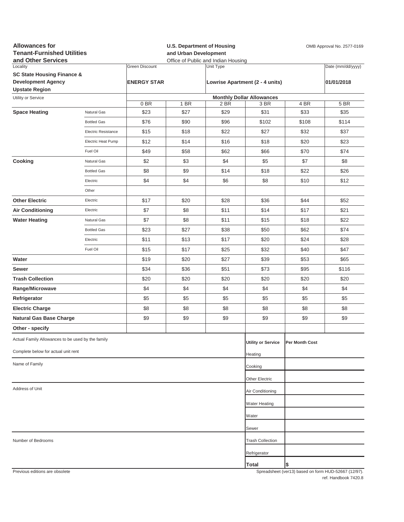| <b>Allowances for</b><br><b>Tenant-Furnished Utilities</b><br>and Other Services                        |                     |                                             | <b>U.S. Department of Housing</b><br>and Urban Development<br>Office of Public and Indian Housing |                                              |                                  |                | OMB Approval No. 2577-0169                          |  |
|---------------------------------------------------------------------------------------------------------|---------------------|---------------------------------------------|---------------------------------------------------------------------------------------------------|----------------------------------------------|----------------------------------|----------------|-----------------------------------------------------|--|
| Locality<br><b>SC State Housing Finance &amp;</b><br><b>Development Agency</b><br><b>Upstate Region</b> |                     | <b>Green Discount</b><br><b>ENERGY STAR</b> |                                                                                                   | Unit Type<br>Lowrise Apartment (2 - 4 units) |                                  |                | Date (mm/dd/yyyy)<br>01/01/2018                     |  |
| Utility or Service                                                                                      |                     |                                             |                                                                                                   |                                              | <b>Monthly Dollar Allowances</b> |                |                                                     |  |
|                                                                                                         |                     | 0BR                                         | 1 BR                                                                                              | 2 BR                                         | 3 BR                             | 4 BR           | 5 BR                                                |  |
| <b>Space Heating</b>                                                                                    | Natural Gas         | \$23                                        | \$27                                                                                              | \$29                                         | \$31                             | \$33           | \$35                                                |  |
|                                                                                                         | <b>Bottled Gas</b>  | \$76                                        | \$90                                                                                              | \$96                                         | \$102                            | \$108          | \$114                                               |  |
|                                                                                                         | Electric Resistance | \$15                                        | \$18                                                                                              | \$22                                         | \$27                             | \$32           | \$37                                                |  |
|                                                                                                         | Electric Heat Pump  | \$12                                        | \$14                                                                                              | \$16                                         | \$18                             | \$20           | \$23                                                |  |
|                                                                                                         | Fuel Oil            | \$49                                        | \$58                                                                                              | \$62                                         | \$66                             | \$70           | \$74                                                |  |
| Cooking                                                                                                 | Natural Gas         | \$2                                         | \$3                                                                                               | \$4                                          | \$5                              | \$7            | \$8                                                 |  |
|                                                                                                         | <b>Bottled Gas</b>  | \$8                                         | \$9                                                                                               | \$14                                         | \$18                             | \$22           | \$26                                                |  |
|                                                                                                         | Electric            | \$4                                         | \$4                                                                                               | \$6                                          | \$8                              | \$10           | \$12                                                |  |
|                                                                                                         | Other               |                                             |                                                                                                   |                                              |                                  |                |                                                     |  |
| <b>Other Electric</b>                                                                                   | Electric            | \$17                                        | \$20                                                                                              | \$28                                         | \$36                             | \$44           | \$52                                                |  |
| <b>Air Conditioning</b>                                                                                 | Electric            | \$7                                         | \$8                                                                                               | \$11                                         | \$14                             | \$17           | \$21                                                |  |
| <b>Water Heating</b>                                                                                    | Natural Gas         | \$7                                         | \$8                                                                                               | \$11                                         | \$15                             | \$18           | \$22                                                |  |
|                                                                                                         | <b>Bottled Gas</b>  | \$23                                        | \$27                                                                                              | \$38                                         | \$50                             | \$62           | \$74                                                |  |
|                                                                                                         | Electric            | \$11                                        | \$13                                                                                              | \$17                                         | \$20                             | \$24           | \$28                                                |  |
|                                                                                                         | Fuel Oil            | \$15                                        | \$17                                                                                              | \$25                                         | \$32                             | \$40           | \$47                                                |  |
| Water                                                                                                   |                     | \$19                                        | \$20                                                                                              | \$27                                         | \$39                             | \$53           | \$65                                                |  |
| Sewer                                                                                                   |                     | \$34                                        | \$36                                                                                              | \$51                                         | \$73                             | \$95           | \$116                                               |  |
| <b>Trash Collection</b>                                                                                 |                     | \$20                                        | \$20                                                                                              | \$20                                         | \$20                             | \$20           | \$20                                                |  |
| Range/Microwave                                                                                         |                     | \$4                                         | \$4                                                                                               | \$4                                          | \$4                              | \$4            | \$4                                                 |  |
| Refrigerator                                                                                            |                     | \$5                                         | \$5                                                                                               | \$5                                          | \$5                              | \$5            | \$5                                                 |  |
| <b>Electric Charge</b>                                                                                  |                     | \$8                                         | \$8                                                                                               | \$8                                          | \$8                              | \$8            | \$8                                                 |  |
| <b>Natural Gas Base Charge</b>                                                                          |                     | \$9                                         | \$9                                                                                               | \$9                                          | \$9                              | \$9            | \$9                                                 |  |
| Other - specify                                                                                         |                     |                                             |                                                                                                   |                                              |                                  |                |                                                     |  |
| Actual Family Allowances to be used by the family                                                       |                     |                                             |                                                                                                   |                                              | <b>Utility or Service</b>        | Per Month Cost |                                                     |  |
| Complete below for actual unit rent                                                                     |                     |                                             |                                                                                                   |                                              | Heating                          |                |                                                     |  |
| Name of Family                                                                                          |                     |                                             |                                                                                                   |                                              | Cooking                          |                |                                                     |  |
|                                                                                                         |                     |                                             |                                                                                                   |                                              | Other Electric                   |                |                                                     |  |
| Address of Unit                                                                                         |                     |                                             |                                                                                                   |                                              | Air Conditioning                 |                |                                                     |  |
|                                                                                                         |                     |                                             |                                                                                                   |                                              | Water Heating                    |                |                                                     |  |
|                                                                                                         |                     |                                             |                                                                                                   |                                              | Water                            |                |                                                     |  |
|                                                                                                         |                     |                                             |                                                                                                   |                                              | Sewer                            |                |                                                     |  |
| Number of Bedrooms                                                                                      |                     |                                             |                                                                                                   |                                              | <b>Trash Collection</b>          |                |                                                     |  |
|                                                                                                         |                     |                                             |                                                                                                   |                                              | Refrigerator                     |                |                                                     |  |
|                                                                                                         |                     |                                             |                                                                                                   |                                              | Total                            | \$             |                                                     |  |
| Previous editions are obsolete                                                                          |                     |                                             |                                                                                                   |                                              |                                  |                | Spreadsheet (ver13) based on form HUD-52667 (12/07) |  |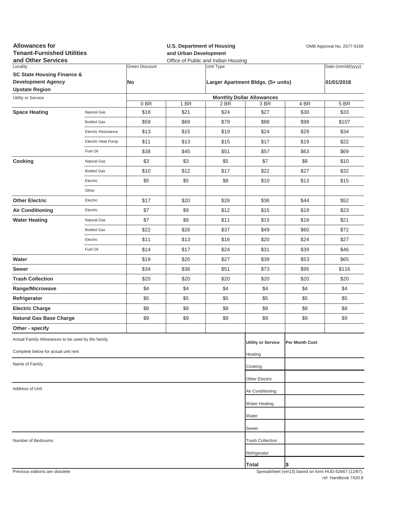| <b>Allowances for</b><br><b>Tenant-Furnished Utilities</b><br>and Other Services |                     |                | and Urban Development | <b>U.S. Department of Housing</b><br>Office of Public and Indian Housing | OMB Approval No. 2577-0169         |                |                                                     |  |
|----------------------------------------------------------------------------------|---------------------|----------------|-----------------------|--------------------------------------------------------------------------|------------------------------------|----------------|-----------------------------------------------------|--|
| Locality                                                                         |                     | Green Discount |                       | Unit Type                                                                |                                    |                | Date (mm/dd/yyyy)                                   |  |
| <b>SC State Housing Finance &amp;</b>                                            |                     |                |                       |                                                                          |                                    |                |                                                     |  |
| <b>Development Agency</b><br><b>Upstate Region</b>                               |                     | No             |                       |                                                                          | Larger Apartment Bldgs. (5+ units) |                | 01/01/2018                                          |  |
| Utility or Service                                                               |                     |                |                       |                                                                          | <b>Monthly Dollar Allowances</b>   |                |                                                     |  |
|                                                                                  |                     | 0BR            | 1 BR                  | 2 BR                                                                     | 3 BR                               | 4 BR           | 5 BR                                                |  |
| <b>Space Heating</b>                                                             | Natural Gas         | \$18           | \$21                  | \$24                                                                     | \$27                               | \$30           | \$33                                                |  |
|                                                                                  | <b>Bottled Gas</b>  | \$59           | \$69                  | \$79                                                                     | \$88                               | \$98           | \$107                                               |  |
|                                                                                  | Electric Resistance | \$13           | \$15                  | \$19                                                                     | \$24                               | \$29           | \$34                                                |  |
|                                                                                  | Electric Heat Pump  | \$11           | \$13                  | \$15                                                                     | \$17                               | \$19           | \$22                                                |  |
|                                                                                  | Fuel Oil            | \$38           | \$45                  | \$51                                                                     | \$57                               | \$63           | \$69                                                |  |
| Cooking                                                                          | Natural Gas         | \$3            | \$3                   | \$5                                                                      | \$7                                | \$8            | \$10                                                |  |
|                                                                                  | <b>Bottled Gas</b>  | \$10           | \$12                  | \$17                                                                     | \$22                               | \$27           | \$32                                                |  |
|                                                                                  | Electric            | \$5            | \$5                   | \$8                                                                      | \$10                               | \$13           | \$15                                                |  |
|                                                                                  | Other               |                |                       |                                                                          |                                    |                |                                                     |  |
| <b>Other Electric</b>                                                            | Electric            | \$17           | \$20                  | \$28                                                                     | \$36                               | \$44           | \$52                                                |  |
| <b>Air Conditioning</b>                                                          | Electric            | \$7            | \$9                   | \$12                                                                     | \$15                               | \$19           | \$23                                                |  |
| <b>Water Heating</b>                                                             | Natural Gas         | \$7            | \$8                   | \$11                                                                     | \$15                               | \$18           | \$21                                                |  |
|                                                                                  | <b>Bottled Gas</b>  | \$22           | \$26                  | \$37                                                                     | \$49                               | \$60           | \$72                                                |  |
|                                                                                  | Electric            | \$11           | \$13                  | \$16                                                                     | \$20                               | \$24           | \$27                                                |  |
|                                                                                  | Fuel Oil            | \$14           | \$17                  | \$24                                                                     | \$31                               | \$39           | \$46                                                |  |
| Water                                                                            |                     | \$19           | \$20                  | \$27                                                                     | \$39                               | \$53           | \$65                                                |  |
| Sewer                                                                            |                     | \$34           | \$36                  | \$51                                                                     | \$73                               | \$95           | \$116                                               |  |
| <b>Trash Collection</b>                                                          |                     | \$20           | \$20                  | \$20                                                                     | \$20                               | \$20           | \$20                                                |  |
| Range/Microwave                                                                  |                     | \$4            | \$4                   | \$4                                                                      | \$4                                | \$4            | \$4                                                 |  |
| Refrigerator                                                                     |                     | \$5            | \$5                   | \$5                                                                      | \$5                                | \$5            | \$5                                                 |  |
| <b>Electric Charge</b>                                                           |                     | \$8            | \$8                   | \$8                                                                      | \$8                                | \$8            | \$8                                                 |  |
|                                                                                  |                     |                |                       | \$9                                                                      | \$9                                |                |                                                     |  |
| <b>Natural Gas Base Charge</b><br>Other - specify                                |                     | \$9            | \$9                   |                                                                          |                                    | \$9            | \$9                                                 |  |
|                                                                                  |                     |                |                       |                                                                          |                                    |                |                                                     |  |
| Actual Family Allowances to be used by the family                                |                     |                |                       |                                                                          | <b>Utility or Service</b>          | Per Month Cost |                                                     |  |
| Complete below for actual unit rent                                              |                     |                |                       |                                                                          | Heating                            |                |                                                     |  |
| Name of Family                                                                   |                     |                |                       |                                                                          | Cooking                            |                |                                                     |  |
|                                                                                  |                     |                |                       |                                                                          | Other Electric                     |                |                                                     |  |
| Address of Unit                                                                  |                     |                |                       |                                                                          | Air Conditioning                   |                |                                                     |  |
|                                                                                  |                     |                |                       |                                                                          | <b>Water Heating</b>               |                |                                                     |  |
|                                                                                  |                     |                |                       |                                                                          | Water                              |                |                                                     |  |
|                                                                                  |                     |                |                       |                                                                          | Sewer                              |                |                                                     |  |
| Number of Bedrooms                                                               |                     |                |                       |                                                                          | <b>Trash Collection</b>            |                |                                                     |  |
|                                                                                  |                     |                |                       |                                                                          | Refrigerator                       |                |                                                     |  |
|                                                                                  |                     |                |                       |                                                                          |                                    |                |                                                     |  |
| Previous editions are obsolete                                                   |                     |                |                       |                                                                          | Total                              | \$             | Spreadsheet (ver13) hased on form HUD-52667 (12/97) |  |